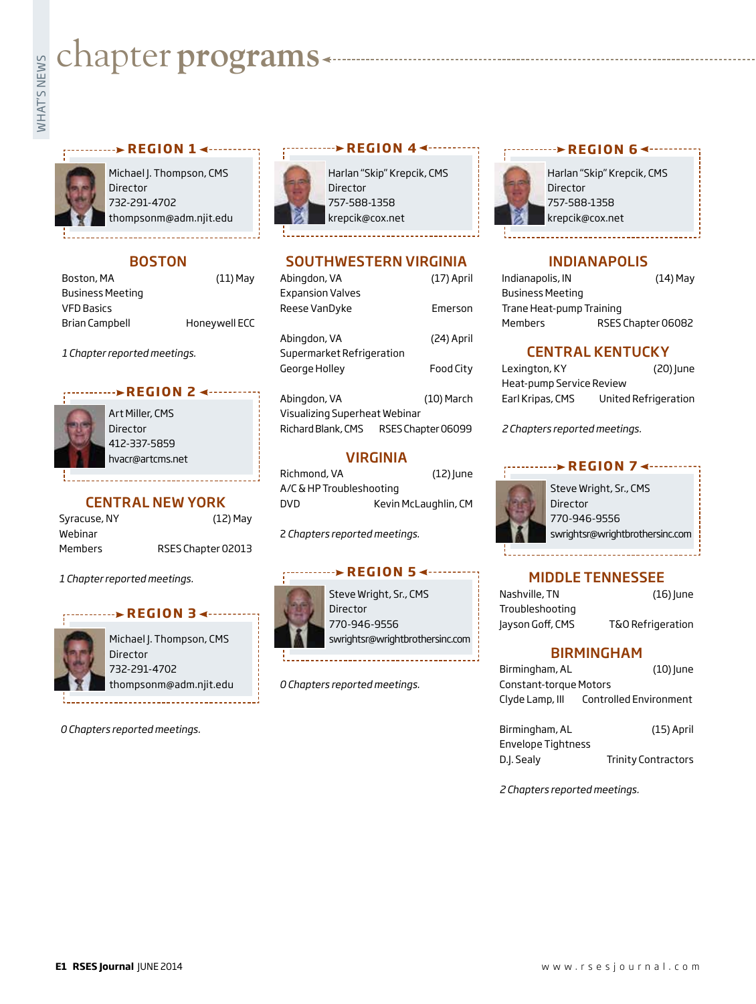# **WHATER PROGRAMS**

#### **REGION 1 < ··········**



Michael J. Thompson, CMS Director 732-291-4702 thompsonm@adm.njit.edu

# **BOSTON**

| $(11)$ May    |
|---------------|
|               |
|               |
| Honeywell ECC |
|               |

*1 Chapter reported meetings.*

### **REGION 2 <-------**



Art Miller, CMS Director 412-337-5859 hvacr@artcms.net

# CENTRAL NEW YORK

| Syracuse, NY   | $(12)$ May         |
|----------------|--------------------|
| Webinar        |                    |
| <b>Members</b> | RSES Chapter 02013 |

*1 Chapter reported meetings.*

#### **REGION 3**



Michael J. Thompson, CMS Director 732-291-4702 thompsonm@adm.njit.edu

*0 Chapters reported meetings.*



Harlan "Skip" Krepcik, CMS Director 757-588-1358 krepcik@cox.net

<sub>r</sub>............**> REGION 4 <**---------

# SOUTHWESTERN VIRGINIA

| Abingdon, VA                  | $(17)$ April       |
|-------------------------------|--------------------|
| <b>Expansion Valves</b>       |                    |
| Reese VanDyke                 | Emerson            |
| Abingdon, VA                  | (24) April         |
| Supermarket Refrigeration     |                    |
| George Hollev                 | Food City          |
| Abingdon, VA                  | (10) March         |
|                               |                    |
| Visualizing Superheat Webinar |                    |
| Richard Blank, CMS            | RSES Chapter 06099 |

### VIRGINIA

| Richmond, VA             | $(12)$ June          |
|--------------------------|----------------------|
| A/C & HP Troubleshooting |                      |
| DVD                      | Kevin McLaughlin, CM |

2 *Chapters reported meetings.*

#### **REGION 5**



Steve Wright, Sr., CMS Director 770-946-9556 swrightsr@wrightbrothersinc.com

*0 Chapters reported meetings.*

#### **With University REGION 6 <---------**



Harlan "Skip" Krepcik, CMS Director 757-588-1358 krepcik@cox.net

#### INDIANAPOLIS

Indianapolis, IN (14) May Business Meeting Trane Heat-pump Training Members RSES Chapter 06082

### CENTRAL KENTUCKY

| Lexington, KY            | (20) June            |
|--------------------------|----------------------|
| Heat-pump Service Review |                      |
| Earl Kripas, CMS         | United Refrigeration |

*2 Chapters reported meetings.*



## MIDDLE TENNESSEE

| Nashville, TN    | $(16)$ June       |
|------------------|-------------------|
| Troubleshooting  |                   |
| Jayson Goff, CMS | T&O Refrigeration |

#### BIRMINGHAM

| Birmingham, AL                | $(10)$ lune                |
|-------------------------------|----------------------------|
| <b>Constant-torque Motors</b> |                            |
| Clyde Lamp, III               | Controlled Environment     |
|                               |                            |
| Birmingham, AL                | $(15)$ April               |
| <b>Envelope Tightness</b>     |                            |
| D.J. Sealy                    | <b>Trinity Contractors</b> |

*2 Chapters reported meetings.*